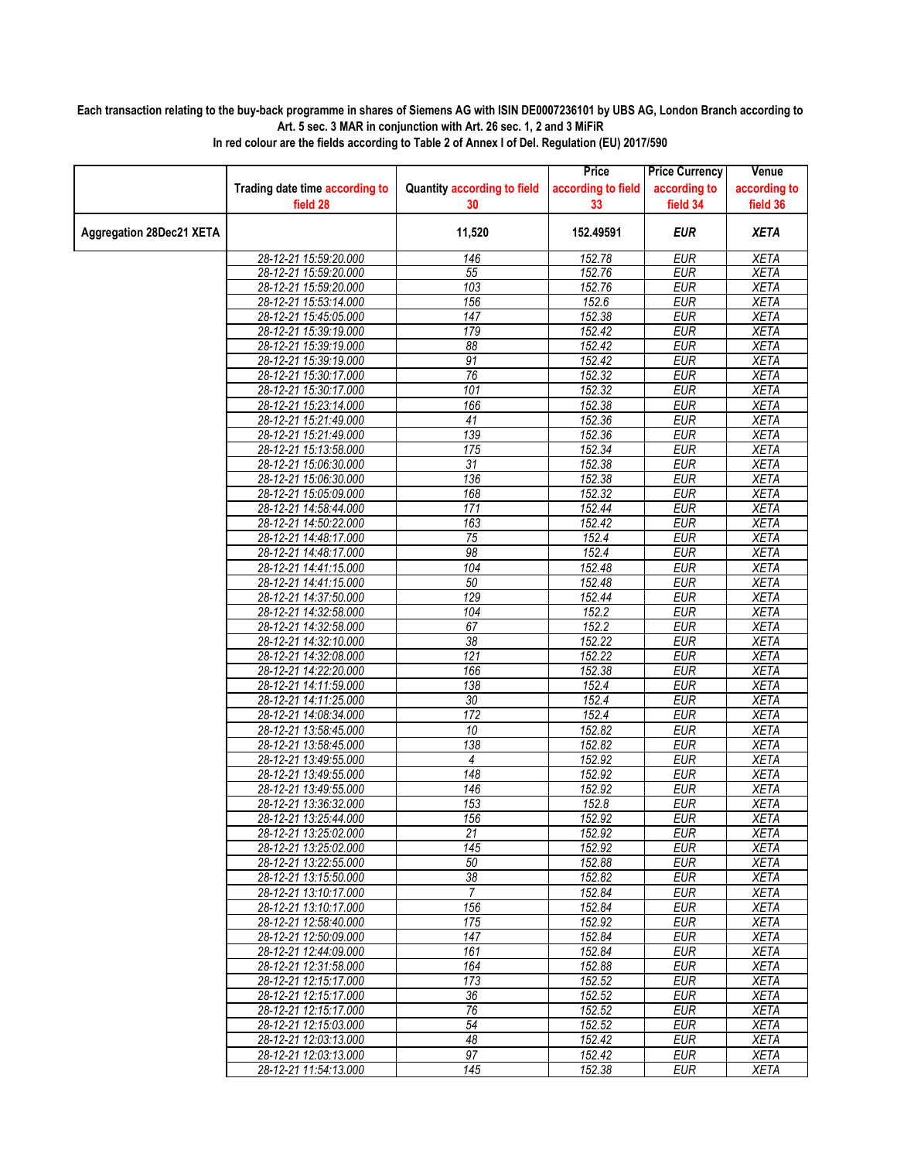## **Each transaction relating to the buy-back programme in shares of Siemens AG with ISIN DE0007236101 by UBS AG, London Branch according to Art. 5 sec. 3 MAR in conjunction with Art. 26 sec. 1, 2 and 3 MiFiR**

|                                 |                                                |                                    | Price              | <b>Price Currency</b>    | Venue                      |
|---------------------------------|------------------------------------------------|------------------------------------|--------------------|--------------------------|----------------------------|
|                                 | Trading date time according to                 | <b>Quantity according to field</b> | according to field | according to             | according to               |
|                                 | field 28                                       | 30                                 | 33                 | field 34                 | field 36                   |
| <b>Aggregation 28Dec21 XETA</b> |                                                | 11,520                             | 152.49591          | <b>EUR</b>               | <b>XETA</b>                |
|                                 | 28-12-21 15:59:20.000                          | 146                                | 152.78             | <b>EUR</b>               | <b>XETA</b>                |
|                                 | 28-12-21 15:59:20.000                          | 55                                 | 152.76             | <b>EUR</b>               | <b>XETA</b>                |
|                                 | 28-12-21 15:59:20.000                          | 103                                | 152.76             | <b>EUR</b>               | <b>XETA</b>                |
|                                 | 28-12-21 15:53:14.000                          | 156                                | 152.6              | <b>EUR</b>               | <b>XETA</b>                |
|                                 | 28-12-21 15:45:05.000                          | $\overline{147}$                   | 152.38             | <b>EUR</b>               | <b>XETA</b>                |
|                                 | 28-12-21 15:39:19.000                          | 179                                | 152.42             | <b>EUR</b>               | <b>XETA</b>                |
|                                 | 28-12-21 15:39:19.000                          | $\overline{88}$                    | 152.42             | <b>EUR</b>               | <b>XETA</b>                |
|                                 | 28-12-21 15:39:19.000                          | 91                                 | 152.42             | <b>EUR</b>               | <b>XETA</b>                |
|                                 | 28-12-21 15:30:17.000                          | 76                                 | 152.32             | <b>EUR</b>               | <b>XETA</b>                |
|                                 | 28-12-21 15:30:17.000                          | 101                                | 152.32             | <b>EUR</b>               | <b>XETA</b>                |
|                                 | 28-12-21 15:23:14.000                          | 166                                | 152.38             | <b>EUR</b>               | <b>XETA</b>                |
|                                 | 28-12-21 15:21:49.000                          | 41                                 | 152.36             | <b>EUR</b>               | <b>XETA</b>                |
|                                 | 28-12-21 15:21:49.000                          | 139                                | 152.36             | <b>EUR</b>               | <b>XETA</b>                |
|                                 | 28-12-21 15:13:58.000                          | 175                                | 152.34             | <b>EUR</b>               | <b>XETA</b>                |
|                                 | 28-12-21 15:06:30.000                          | 31                                 | 152.38             | <b>EUR</b>               | <b>XETA</b>                |
|                                 | 28-12-21 15:06:30.000                          | 136                                | 152.38             | <b>EUR</b>               | <b>XETA</b>                |
|                                 | 28-12-21 15:05:09.000                          | 168                                | 152.32             | <b>EUR</b>               | <b>XETA</b>                |
|                                 | 28-12-21 14:58:44.000                          | 171                                | 152.44             | <b>EUR</b>               | <b>XETA</b>                |
|                                 | 28-12-21 14:50:22.000                          | 163                                | 152.42             | <b>EUR</b>               | <b>XETA</b>                |
|                                 | 28-12-21 14:48:17.000                          | $\overline{75}$                    | 152.4              | <b>EUR</b>               | <b>XETA</b>                |
|                                 | 28-12-21 14:48:17.000                          | 98                                 | 152.4              | <b>EUR</b>               | <b>XETA</b>                |
|                                 | 28-12-21 14:41:15.000                          | 104                                | 152.48             | <b>EUR</b>               | <b>XETA</b>                |
|                                 | 28-12-21 14:41:15.000                          | 50                                 | 152.48             | <b>EUR</b>               | <b>XETA</b>                |
|                                 | 28-12-21 14:37:50.000                          | 129                                | 152.44             | <b>EUR</b>               | <b>XETA</b>                |
|                                 | 28-12-21 14:32:58.000                          | 104                                | 152.2              | <b>EUR</b>               | <b>XETA</b>                |
|                                 | 28-12-21 14:32:58.000                          | 67                                 | 152.2              | <b>EUR</b>               | <b>XETA</b>                |
|                                 | 28-12-21 14:32:10.000                          | 38                                 | 152.22             | <b>EUR</b>               | <b>XETA</b>                |
|                                 | 28-12-21 14:32:08.000                          | $\overline{121}$                   | 152.22             | <b>EUR</b>               | <b>XETA</b>                |
|                                 | 28-12-21 14:22:20.000                          | 166                                | 152.38             | <b>EUR</b>               | <b>XETA</b>                |
|                                 | 28-12-21 14:11:59.000                          | 138                                | 152.4              | <b>EUR</b>               | <b>XETA</b>                |
|                                 | 28-12-21 14:11:25.000                          | 30                                 | 152.4              | <b>EUR</b>               | <b>XETA</b>                |
|                                 | 28-12-21 14:08:34.000                          | 172                                | 152.4              | <b>EUR</b>               | <b>XETA</b>                |
|                                 | 28-12-21 13:58:45.000                          | $\overline{10}$                    | 152.82             | <b>EUR</b>               | <b>XETA</b>                |
|                                 | 28-12-21 13:58:45.000                          | 138                                | 152.82             | <b>EUR</b>               | <b>XETA</b>                |
|                                 | 28-12-21 13:49:55.000                          | 4                                  | 152.92             | <b>EUR</b>               | <b>XETA</b>                |
|                                 | 28-12-21 13:49:55.000                          | $\overline{148}$                   | 152.92             | <b>EUR</b>               | <b>XETA</b>                |
|                                 | 28-12-21 13:49:55.000                          | 146                                | 152.92             | <b>EUR</b>               | <b>XETA</b>                |
|                                 | 28-12-21 13:36:32.000                          | 153                                | 152.8              | <b>EUR</b>               | <b>XETA</b>                |
|                                 | 28-12-21 13:25:44.000                          | 156                                | 152.92             | <b>EUR</b>               | <b>XETA</b>                |
|                                 | 28-12-21 13:25:02.000                          | 21                                 | 152.92             | <b>EUR</b>               | XETA                       |
|                                 | 28-12-21 13:25:02.000                          | 145                                | 152.92             | <b>EUR</b>               | <b>XETA</b>                |
|                                 | 28-12-21 13:22:55.000                          | 50                                 | 152.88             | <b>EUR</b>               | XETA                       |
|                                 | 28-12-21 13:15:50.000                          | 38<br>$\overline{7}$               | 152.82             | <b>EUR</b>               | <b>XETA</b>                |
|                                 | 28-12-21 13:10:17.000<br>28-12-21 13:10:17.000 | 156                                | 152.84<br>152.84   | <b>EUR</b><br><b>EUR</b> | <b>XETA</b><br><b>XETA</b> |
|                                 | 28-12-21 12:58:40.000                          |                                    |                    |                          |                            |
|                                 | 28-12-21 12:50:09.000                          | 175<br>147                         | 152.92<br>152.84   | <b>EUR</b><br><b>EUR</b> | XETA<br><b>XETA</b>        |
|                                 | 28-12-21 12:44:09.000                          | 161                                | 152.84             | <b>EUR</b>               | <b>XETA</b>                |
|                                 | 28-12-21 12:31:58.000                          | 164                                | 152.88             | <b>EUR</b>               | XETA                       |
|                                 | 28-12-21 12:15:17.000                          | 173                                | 152.52             | <b>EUR</b>               | <b>XETA</b>                |
|                                 | 28-12-21 12:15:17.000                          | 36                                 | 152.52             | <b>EUR</b>               | <b>XETA</b>                |
|                                 | 28-12-21 12:15:17.000                          | 76                                 | 152.52             | <b>EUR</b>               | <b>XETA</b>                |
|                                 | 28-12-21 12:15:03.000                          | 54                                 | 152.52             | <b>EUR</b>               | XETA                       |
|                                 | 28-12-21 12:03:13.000                          | 48                                 | 152.42             | <b>EUR</b>               | <b>XETA</b>                |
|                                 | 28-12-21 12:03:13.000                          | 97                                 | 152.42             | <b>EUR</b>               | <b>XETA</b>                |
|                                 | 28-12-21 11:54:13.000                          | 145                                | 152.38             | EUR                      | XETA                       |
|                                 |                                                |                                    |                    |                          |                            |

**In red colour are the fields according to Table 2 of Annex I of Del. Regulation (EU) 2017/590**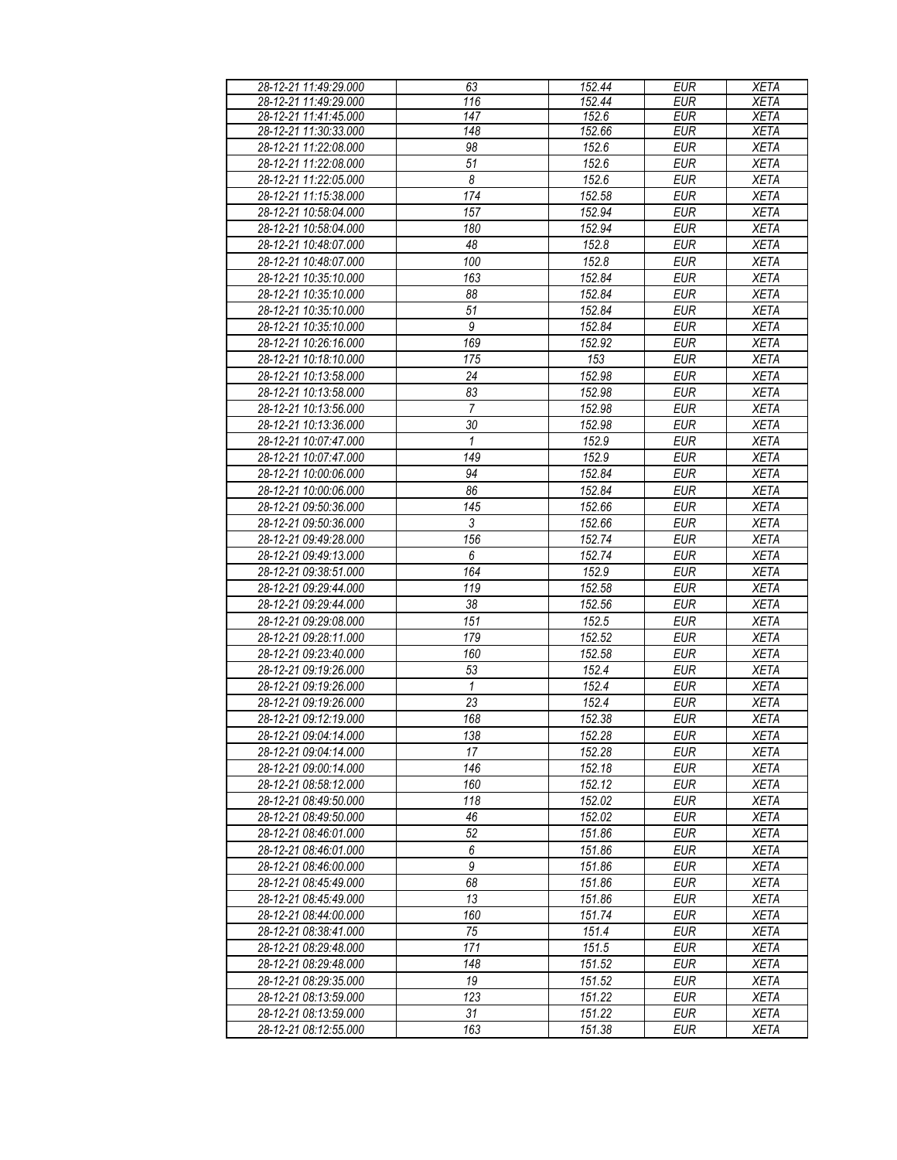| 28-12-21 11:49:29.000 | 63                    | 152.44 | <b>EUR</b> | <b>XETA</b> |
|-----------------------|-----------------------|--------|------------|-------------|
| 28-12-21 11:49:29.000 | 116                   | 152.44 | <b>EUR</b> | <b>XETA</b> |
| 28-12-21 11:41:45.000 | 147                   | 152.6  | <b>EUR</b> | <b>XETA</b> |
| 28-12-21 11:30:33.000 | 148                   | 152.66 | <b>EUR</b> | <b>XETA</b> |
| 28-12-21 11:22:08.000 | 98                    | 152.6  | <b>EUR</b> | <b>XETA</b> |
| 28-12-21 11:22:08.000 | 51                    | 152.6  | <b>EUR</b> | <b>XETA</b> |
| 28-12-21 11:22:05.000 | $\boldsymbol{\delta}$ | 152.6  | <b>EUR</b> | <b>XETA</b> |
| 28-12-21 11:15:38.000 | 174                   | 152.58 | <b>EUR</b> | <b>XETA</b> |
| 28-12-21 10:58:04.000 | 157                   | 152.94 | <b>EUR</b> |             |
|                       |                       |        |            | <b>XETA</b> |
| 28-12-21 10:58:04.000 | 180                   | 152.94 | <b>EUR</b> | <b>XETA</b> |
| 28-12-21 10:48:07.000 | 48                    | 152.8  | <b>EUR</b> | <b>XETA</b> |
| 28-12-21 10:48:07.000 | 100                   | 152.8  | <b>EUR</b> | <b>XETA</b> |
| 28-12-21 10:35:10.000 | 163                   | 152.84 | <b>EUR</b> | <b>XETA</b> |
| 28-12-21 10:35:10.000 | 88                    | 152.84 | <b>EUR</b> | <b>XETA</b> |
| 28-12-21 10:35:10.000 | 51                    | 152.84 | <b>EUR</b> | <b>XETA</b> |
| 28-12-21 10:35:10.000 | 9                     | 152.84 | <b>EUR</b> | <b>XETA</b> |
| 28-12-21 10:26:16.000 | 169                   | 152.92 | <b>EUR</b> | <b>XETA</b> |
| 28-12-21 10:18:10.000 | 175                   | 153    | <b>EUR</b> | <b>XETA</b> |
| 28-12-21 10:13:58.000 | 24                    | 152.98 | <b>EUR</b> | <b>XETA</b> |
| 28-12-21 10:13:58.000 | 83                    | 152.98 | <b>EUR</b> | <b>XETA</b> |
| 28-12-21 10:13:56.000 | $\overline{7}$        | 152.98 | EUR        | <b>XETA</b> |
| 28-12-21 10:13:36.000 | 30                    | 152.98 | <b>EUR</b> | <b>XETA</b> |
| 28-12-21 10:07:47.000 | 1                     | 152.9  | <b>EUR</b> | <b>XETA</b> |
|                       |                       | 152.9  | $E$ UR     |             |
| 28-12-21 10:07:47.000 | 149                   |        |            | <b>XETA</b> |
| 28-12-21 10:00:06.000 | 94                    | 152.84 | <b>EUR</b> | <b>XETA</b> |
| 28-12-21 10:00:06.000 | 86                    | 152.84 | <b>EUR</b> | <b>XETA</b> |
| 28-12-21 09:50:36.000 | 145                   | 152.66 | <b>EUR</b> | <b>XETA</b> |
| 28-12-21 09:50:36.000 | $\mathfrak{Z}$        | 152.66 | <b>EUR</b> | <b>XETA</b> |
| 28-12-21 09:49:28.000 | 156                   | 152.74 | <b>EUR</b> | <b>XETA</b> |
| 28-12-21 09:49:13.000 | 6                     | 152.74 | <b>EUR</b> | <b>XETA</b> |
| 28-12-21 09:38:51.000 | 164                   | 152.9  | <b>EUR</b> | <b>XETA</b> |
| 28-12-21 09:29:44.000 | 119                   | 152.58 | <b>EUR</b> | <b>XETA</b> |
| 28-12-21 09:29:44.000 | 38                    | 152.56 | <b>EUR</b> | <b>XETA</b> |
| 28-12-21 09:29:08.000 | 151                   | 152.5  | <b>EUR</b> | <b>XETA</b> |
| 28-12-21 09:28:11.000 | 179                   | 152.52 | <b>EUR</b> | <b>XETA</b> |
| 28-12-21 09:23:40.000 | 160                   | 152.58 | <b>EUR</b> | <b>XETA</b> |
| 28-12-21 09:19:26.000 | 53                    | 152.4  | <b>EUR</b> | <b>XETA</b> |
| 28-12-21 09:19:26.000 | 1                     | 152.4  | <b>EUR</b> | <b>XETA</b> |
| 28-12-21 09:19:26.000 | 23                    | 152.4  | <b>EUR</b> | <b>XETA</b> |
| 28-12-21 09:12:19.000 | 168                   | 152.38 | <b>EUR</b> | <b>XETA</b> |
| 28-12-21 09:04:14.000 | 138                   | 152.28 | <b>EUR</b> | <b>XETA</b> |
|                       | 17                    |        |            |             |
| 28-12-21 09:04:14.000 |                       | 152.28 | EUR        | XETA        |
| 28-12-21 09:00:14.000 | 146                   | 152.18 | <b>EUR</b> | <b>XETA</b> |
| 28-12-21 08:58:12.000 | 160                   | 152.12 | <b>EUR</b> | <b>XETA</b> |
| 28-12-21 08:49:50.000 | 118                   | 152.02 | EUR        | XETA        |
| 28-12-21 08:49:50.000 | 46                    | 152.02 | <b>EUR</b> | <b>XETA</b> |
| 28-12-21 08:46:01.000 | 52                    | 151.86 | <b>EUR</b> | <b>XETA</b> |
| 28-12-21 08:46:01.000 | 6                     | 151.86 | <b>EUR</b> | <b>XETA</b> |
| 28-12-21 08:46:00.000 | 9                     | 151.86 | <b>EUR</b> | <b>XETA</b> |
| 28-12-21 08:45:49.000 | 68                    | 151.86 | <b>EUR</b> | <b>XETA</b> |
| 28-12-21 08:45:49.000 | 13                    | 151.86 | <b>EUR</b> | <b>XETA</b> |
| 28-12-21 08:44:00.000 | 160                   | 151.74 | <b>EUR</b> | <b>XETA</b> |
| 28-12-21 08:38:41.000 | 75                    | 151.4  | <b>EUR</b> | <b>XETA</b> |
| 28-12-21 08:29:48.000 | 171                   | 151.5  | <b>EUR</b> | <b>XETA</b> |
| 28-12-21 08:29:48.000 | 148                   | 151.52 | <b>EUR</b> | <b>XETA</b> |
| 28-12-21 08:29:35.000 | 19                    | 151.52 | <b>EUR</b> | <b>XETA</b> |
| 28-12-21 08:13:59.000 | 123                   | 151.22 | <b>EUR</b> | <b>XETA</b> |
|                       | 31                    | 151.22 | <b>EUR</b> | <b>XETA</b> |
| 28-12-21 08:13:59.000 |                       |        |            |             |
| 28-12-21 08:12:55.000 | 163                   | 151.38 | <b>EUR</b> | <b>XETA</b> |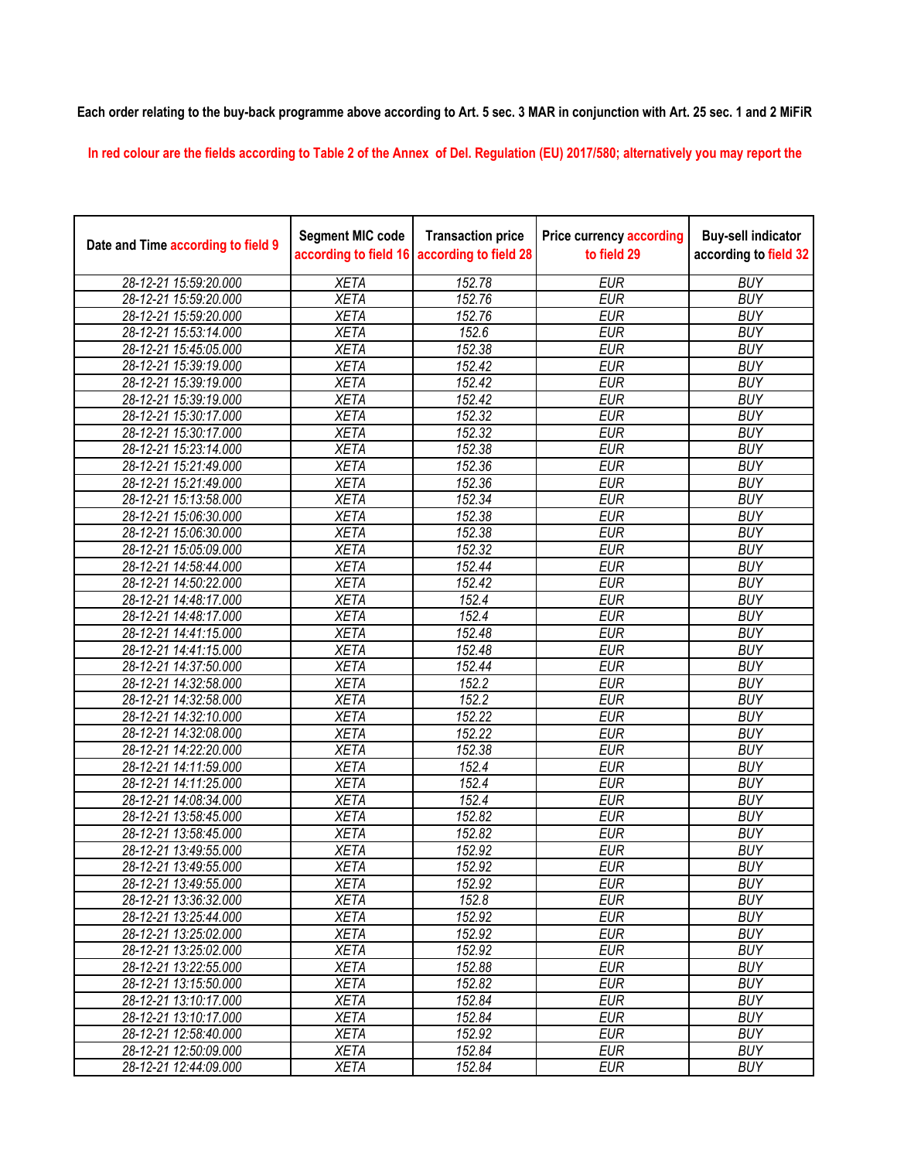**Each order relating to the buy-back programme above according to Art. 5 sec. 3 MAR in conjunction with Art. 25 sec. 1 and 2 MiFiR** 

**In red colour are the fields according to Table 2 of the Annex of Del. Regulation (EU) 2017/580; alternatively you may report the** 

| Date and Time according to field 9 | <b>Segment MIC code</b><br>according to field 16 | <b>Transaction price</b><br>according to field 28 | <b>Price currency according</b><br>to field 29 | <b>Buy-sell indicator</b><br>according to field 32 |
|------------------------------------|--------------------------------------------------|---------------------------------------------------|------------------------------------------------|----------------------------------------------------|
| 28-12-21 15:59:20.000              | <b>XETA</b>                                      | 152.78                                            | <b>EUR</b>                                     | <b>BUY</b>                                         |
| 28-12-21 15:59:20.000              | <b>XETA</b>                                      | 152.76                                            | <b>EUR</b>                                     | <b>BUY</b>                                         |
| 28-12-21 15:59:20.000              | <b>XETA</b>                                      | 152.76                                            | <b>EUR</b>                                     | <b>BUY</b>                                         |
| 28-12-21 15:53:14.000              | <b>XETA</b>                                      | 152.6                                             | <b>EUR</b>                                     | <b>BUY</b>                                         |
| 28-12-21 15:45:05.000              | <b>XETA</b>                                      | 152.38                                            | <b>EUR</b>                                     | <b>BUY</b>                                         |
| 28-12-21 15:39:19.000              | <b>XETA</b>                                      | 152.42                                            | <b>EUR</b>                                     | <b>BUY</b>                                         |
| 28-12-21 15:39:19.000              | <b>XETA</b>                                      | 152.42                                            | <b>EUR</b>                                     | <b>BUY</b>                                         |
| 28-12-21 15:39:19.000              | <b>XETA</b>                                      | 152.42                                            | <b>EUR</b>                                     | <b>BUY</b>                                         |
| 28-12-21 15:30:17.000              | <b>XETA</b>                                      | 152.32                                            | <b>EUR</b>                                     | <b>BUY</b>                                         |
| 28-12-21 15:30:17.000              | <b>XETA</b>                                      | 152.32                                            | <b>EUR</b>                                     | <b>BUY</b>                                         |
| 28-12-21 15:23:14.000              | <b>XETA</b>                                      | 152.38                                            | <b>EUR</b>                                     | <b>BUY</b>                                         |
| 28-12-21 15:21:49.000              | <b>XETA</b>                                      | 152.36                                            | <b>EUR</b>                                     | <b>BUY</b>                                         |
| 28-12-21 15:21:49.000              | <b>XETA</b>                                      | 152.36                                            | <b>EUR</b>                                     | <b>BUY</b>                                         |
| 28-12-21 15:13:58.000              | <b>XETA</b>                                      | 152.34                                            | <b>EUR</b>                                     | <b>BUY</b>                                         |
| 28-12-21 15:06:30.000              | <b>XETA</b>                                      | 152.38                                            | <b>EUR</b>                                     | <b>BUY</b>                                         |
| 28-12-21 15:06:30.000              | <b>XETA</b>                                      | 152.38                                            | <b>EUR</b>                                     | <b>BUY</b>                                         |
| 28-12-21 15:05:09.000              | <b>XETA</b>                                      | 152.32                                            | <b>EUR</b>                                     | <b>BUY</b>                                         |
| 28-12-21 14:58:44.000              | <b>XETA</b>                                      | 152.44                                            | <b>EUR</b>                                     | <b>BUY</b>                                         |
| 28-12-21 14:50:22.000              | <b>XETA</b>                                      | 152.42                                            | <b>EUR</b>                                     | <b>BUY</b>                                         |
| 28-12-21 14:48:17.000              | <b>XETA</b>                                      | 152.4                                             | <b>EUR</b>                                     | <b>BUY</b>                                         |
| 28-12-21 14:48:17.000              | <b>XETA</b>                                      | 152.4                                             | <b>EUR</b>                                     | <b>BUY</b>                                         |
| 28-12-21 14:41:15.000              | <b>XETA</b>                                      | 152.48                                            | <b>EUR</b>                                     | <b>BUY</b>                                         |
| 28-12-21 14:41:15.000              | <b>XETA</b>                                      | 152.48                                            | <b>EUR</b>                                     | <b>BUY</b>                                         |
| 28-12-21 14:37:50.000              | <b>XETA</b>                                      | 152.44                                            | <b>EUR</b>                                     | <b>BUY</b>                                         |
| 28-12-21 14:32:58.000              | <b>XETA</b>                                      | 152.2                                             | <b>EUR</b>                                     | <b>BUY</b>                                         |
| 28-12-21 14:32:58.000              | <b>XETA</b>                                      | 152.2                                             | <b>EUR</b>                                     | <b>BUY</b>                                         |
| 28-12-21 14:32:10.000              | <b>XETA</b>                                      | 152.22                                            | <b>EUR</b>                                     | <b>BUY</b>                                         |
| 28-12-21 14:32:08.000              | <b>XETA</b>                                      | $\overline{152.22}$                               | <b>EUR</b>                                     | <b>BUY</b>                                         |
| 28-12-21 14:22:20.000              | <b>XETA</b>                                      | 152.38                                            | <b>EUR</b>                                     | <b>BUY</b>                                         |
| 28-12-21 14:11:59.000              | <b>XETA</b>                                      | 152.4                                             | <b>EUR</b>                                     | <b>BUY</b>                                         |
| 28-12-21 14:11:25.000              | <b>XETA</b>                                      | 152.4                                             | <b>EUR</b>                                     | <b>BUY</b>                                         |
| 28-12-21 14:08:34.000              | <b>XETA</b>                                      | 152.4                                             | <b>EUR</b>                                     | <b>BUY</b>                                         |
| 28-12-21 13:58:45.000              | <b>XETA</b>                                      | 152.82                                            | <b>EUR</b>                                     | <b>BUY</b>                                         |
| 28-12-21 13:58:45.000              | <b>XETA</b>                                      | 152.82                                            | <b>EUR</b>                                     | <b>BUY</b>                                         |
| 28-12-21 13:49:55.000              | <b>XETA</b>                                      | 152.92                                            | <b>EUR</b>                                     | <b>BUY</b>                                         |
| 28-12-21 13:49:55.000              | <b>XETA</b>                                      | 152.92                                            | <b>EUR</b>                                     | <b>BUY</b>                                         |
| 28-12-21 13:49:55.000              | <b>XETA</b>                                      | 152.92                                            | <b>EUR</b>                                     | <b>BUY</b>                                         |
| 28-12-21 13:36:32.000              | <b>XETA</b>                                      | 152.8                                             | <b>EUR</b>                                     | <b>BUY</b>                                         |
| 28-12-21 13:25:44.000              | <b>XETA</b>                                      | 152.92                                            | <b>EUR</b>                                     | <b>BUY</b>                                         |
| 28-12-21 13:25:02.000              | <b>XETA</b>                                      | 152.92                                            | <b>EUR</b>                                     | <b>BUY</b>                                         |
| 28-12-21 13:25:02.000              | <b>XETA</b>                                      | 152.92                                            | <b>EUR</b>                                     | <b>BUY</b>                                         |
| 28-12-21 13:22:55.000              | <b>XETA</b>                                      | 152.88                                            | <b>EUR</b>                                     | <b>BUY</b>                                         |
| 28-12-21 13:15:50.000              | <b>XETA</b>                                      | 152.82                                            | <b>EUR</b>                                     | <b>BUY</b>                                         |
| 28-12-21 13:10:17.000              | <b>XETA</b>                                      | 152.84                                            | EUR                                            | <b>BUY</b>                                         |
| 28-12-21 13:10:17.000              | <b>XETA</b>                                      | 152.84                                            | <b>EUR</b>                                     | <b>BUY</b>                                         |
| 28-12-21 12:58:40.000              | <b>XETA</b>                                      | 152.92                                            | <b>EUR</b>                                     | <b>BUY</b>                                         |
| 28-12-21 12:50:09.000              | <b>XETA</b>                                      | 152.84                                            | <b>EUR</b>                                     | <b>BUY</b>                                         |
| 28-12-21 12:44:09.000              | <b>XETA</b>                                      | 152.84                                            | <b>EUR</b>                                     | <b>BUY</b>                                         |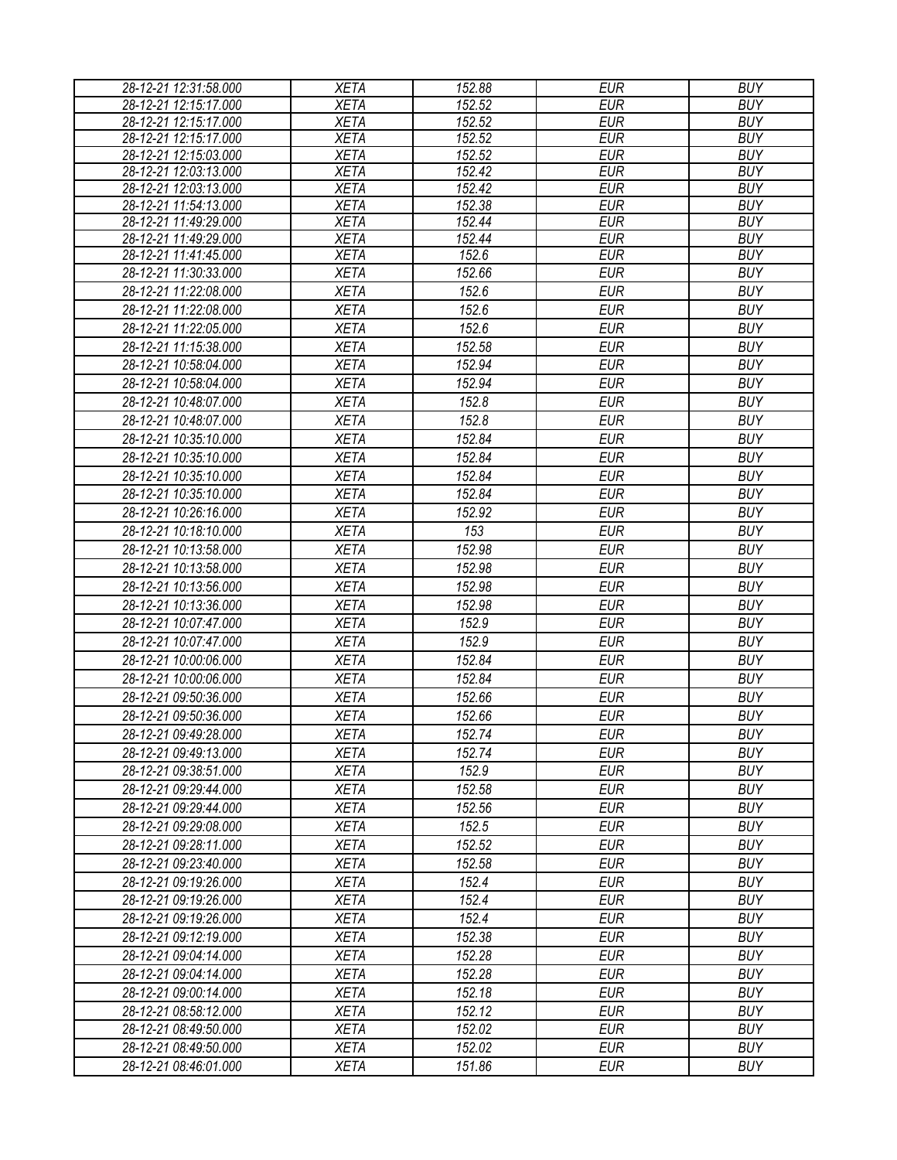| 28-12-21 12:31:58.000                          | <b>XETA</b>                | 152.88              | <b>EUR</b>               | <b>BUY</b>               |
|------------------------------------------------|----------------------------|---------------------|--------------------------|--------------------------|
| 28-12-21 12:15:17.000                          | <b>XETA</b>                | 152.52              | <b>EUR</b>               | <b>BUY</b>               |
| 28-12-21 12:15:17.000                          | <b>XETA</b>                | 152.52              | <b>EUR</b>               | <b>BUY</b>               |
| 28-12-21 12:15:17.000                          | <b>XETA</b>                | 152.52              | <b>EUR</b>               | <b>BUY</b>               |
| 28-12-21 12:15:03.000                          | <b>XETA</b>                | 152.52              | <b>EUR</b>               | <b>BUY</b>               |
| 28-12-21 12:03:13.000                          | <b>XETA</b>                | 152.42              | <b>EUR</b>               | <b>BUY</b>               |
| 28-12-21 12:03:13.000                          | <b>XETA</b>                | 152.42              | <b>EUR</b>               | <b>BUY</b>               |
| 28-12-21 11:54:13.000                          | <b>XETA</b>                | $\overline{152.38}$ | <b>EUR</b>               | <b>BUY</b>               |
| 28-12-21 11:49:29.000                          | <b>XETA</b>                | 152.44              | <b>EUR</b>               | <b>BUY</b>               |
| 28-12-21 11:49:29.000                          | <b>XETA</b><br><b>XETA</b> | 152.44<br>152.6     | <b>EUR</b><br><b>EUR</b> | <b>BUY</b><br><b>BUY</b> |
| 28-12-21 11:41:45.000<br>28-12-21 11:30:33.000 | <b>XETA</b>                | 152.66              | <b>EUR</b>               | <b>BUY</b>               |
| 28-12-21 11:22:08.000                          |                            |                     |                          | <b>BUY</b>               |
|                                                | <b>XETA</b>                | 152.6               | <b>EUR</b>               |                          |
| 28-12-21 11:22:08.000                          | <b>XETA</b>                | 152.6               | <b>EUR</b>               | <b>BUY</b>               |
| 28-12-21 11:22:05.000                          | <b>XETA</b>                | 152.6               | <b>EUR</b>               | <b>BUY</b>               |
| 28-12-21 11:15:38.000                          | <b>XETA</b>                | 152.58              | <b>EUR</b>               | <b>BUY</b>               |
| 28-12-21 10:58:04.000                          | <b>XETA</b>                | 152.94              | <b>EUR</b>               | <b>BUY</b>               |
| 28-12-21 10:58:04.000                          | <b>XETA</b>                | 152.94              | <b>EUR</b>               | <b>BUY</b>               |
| 28-12-21 10:48:07.000                          | <b>XETA</b>                | 152.8               | <b>EUR</b>               | <b>BUY</b>               |
| 28-12-21 10:48:07.000                          | <b>XETA</b>                | 152.8               | <b>EUR</b>               | <b>BUY</b>               |
| 28-12-21 10:35:10.000                          | <b>XETA</b>                | 152.84              | <b>EUR</b>               | <b>BUY</b>               |
| 28-12-21 10:35:10.000                          | <b>XETA</b>                | 152.84              | <b>EUR</b>               | <b>BUY</b>               |
| 28-12-21 10:35:10.000                          | <b>XETA</b>                | 152.84              | <b>EUR</b>               | <b>BUY</b>               |
| 28-12-21 10:35:10.000                          | <b>XETA</b>                | 152.84              | <b>EUR</b>               | <b>BUY</b>               |
| 28-12-21 10:26:16.000                          | <b>XETA</b>                | 152.92              | <b>EUR</b>               | <b>BUY</b>               |
| 28-12-21 10:18:10.000                          | <b>XETA</b>                | 153                 | <b>EUR</b>               | <b>BUY</b>               |
| 28-12-21 10:13:58.000                          | <b>XETA</b>                | 152.98              | <b>EUR</b>               | <b>BUY</b>               |
| 28-12-21 10:13:58.000                          | <b>XETA</b>                | 152.98              | <b>EUR</b>               | <b>BUY</b>               |
| 28-12-21 10:13:56.000                          | <b>XETA</b>                | 152.98              | <b>EUR</b>               | <b>BUY</b>               |
| 28-12-21 10:13:36.000                          | <b>XETA</b>                | 152.98              | <b>EUR</b>               | <b>BUY</b>               |
| 28-12-21 10:07:47.000                          | <b>XETA</b>                | 152.9               | <b>EUR</b>               | <b>BUY</b>               |
| 28-12-21 10:07:47.000                          | <b>XETA</b>                | 152.9               | <b>EUR</b>               | <b>BUY</b>               |
| 28-12-21 10:00:06.000                          | <b>XETA</b>                | 152.84              | <b>EUR</b>               | <b>BUY</b>               |
| 28-12-21 10:00:06.000                          | <b>XETA</b>                | 152.84              | <b>EUR</b>               | <b>BUY</b>               |
| 28-12-21 09:50:36.000                          | <b>XETA</b>                | 152.66              | <b>EUR</b>               | <b>BUY</b>               |
| 28-12-21 09:50:36.000                          | <b>XETA</b>                | 152.66              | <b>EUR</b>               | <b>BUY</b>               |
| 28-12-21 09:49:28.000                          |                            |                     |                          |                          |
|                                                | <b>XETA</b>                | 152.74              | <b>EUR</b>               | <b>BUY</b>               |
| 28-12-21 09:49:13.000                          | <b>XETA</b>                | 152.74              | <b>EUR</b>               | <b>BUY</b>               |
| 28-12-21 09:38:51.000                          | <b>XETA</b>                | 152.9               | <b>EUR</b>               | <b>BUY</b>               |
| 28-12-21 09:29:44.000                          | <b>XETA</b>                | 152.58              | <b>EUR</b>               | <b>BUY</b>               |
| 28-12-21 09:29:44.000                          | <b>XETA</b>                | 152.56              | <b>EUR</b>               | <b>BUY</b>               |
| 28-12-21 09:29:08.000                          | <b>XETA</b>                | 152.5               | <b>EUR</b>               | <b>BUY</b>               |
| 28-12-21 09:28:11.000                          | <b>XETA</b>                | 152.52              | <b>EUR</b>               | <b>BUY</b>               |
| 28-12-21 09:23:40.000                          | <b>XETA</b>                | 152.58              | EUR                      | <b>BUY</b>               |
| 28-12-21 09:19:26.000                          | <b>XETA</b>                | 152.4               | <b>EUR</b>               | <b>BUY</b>               |
| 28-12-21 09:19:26.000                          | <b>XETA</b>                | 152.4               | <b>EUR</b>               | <b>BUY</b>               |
| 28-12-21 09:19:26.000                          | <b>XETA</b>                | 152.4               | <b>EUR</b>               | <b>BUY</b>               |
| 28-12-21 09:12:19.000                          | <b>XETA</b>                | 152.38              | <b>EUR</b>               | <b>BUY</b>               |
| 28-12-21 09:04:14.000                          | <b>XETA</b>                | 152.28              | <b>EUR</b>               | <b>BUY</b>               |
| 28-12-21 09:04:14.000                          | <b>XETA</b>                | 152.28              | <b>EUR</b>               | <b>BUY</b>               |
| 28-12-21 09:00:14.000                          | <b>XETA</b>                | 152.18              | <b>EUR</b>               | <b>BUY</b>               |
| 28-12-21 08:58:12.000                          | <b>XETA</b>                | 152.12              | <b>EUR</b>               | <b>BUY</b>               |
| 28-12-21 08:49:50.000                          | <b>XETA</b>                | 152.02              | <b>EUR</b>               | <b>BUY</b>               |
| 28-12-21 08:49:50.000                          | <b>XETA</b>                | 152.02              | EUR                      | <b>BUY</b>               |
| 28-12-21 08:46:01.000                          | <b>XETA</b>                | 151.86              | <b>EUR</b>               | <b>BUY</b>               |